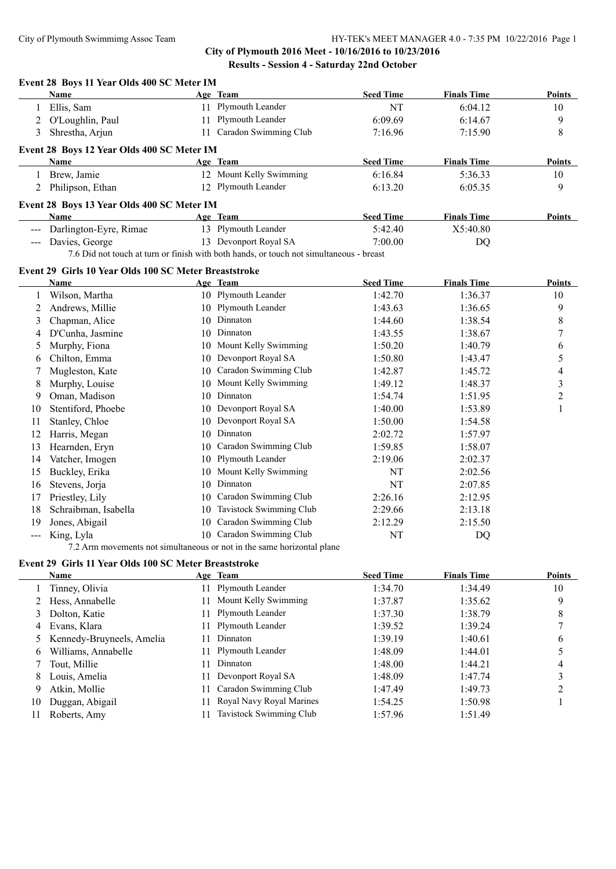|                     | Event 28 Boys 11 Year Olds 400 SC Meter IM<br>Name    |    | Age Team                                                                                | <b>Seed Time</b> | <b>Finals Time</b> | <b>Points</b>  |
|---------------------|-------------------------------------------------------|----|-----------------------------------------------------------------------------------------|------------------|--------------------|----------------|
| 1                   | Ellis, Sam                                            |    | 11 Plymouth Leander                                                                     | <b>NT</b>        | 6:04.12            | 10             |
| 2                   | O'Loughlin, Paul                                      |    | 11 Plymouth Leander                                                                     | 6:09.69          | 6:14.67            | 9              |
| 3                   | Shrestha, Arjun                                       |    | 11 Caradon Swimming Club                                                                | 7:16.96          | 7:15.90            | 8              |
|                     | Event 28 Boys 12 Year Olds 400 SC Meter IM            |    |                                                                                         |                  |                    |                |
|                     | Name                                                  |    | Age Team                                                                                | <b>Seed Time</b> | <b>Finals Time</b> | <b>Points</b>  |
| 1                   | Brew, Jamie                                           |    | 12 Mount Kelly Swimming                                                                 | 6:16.84          | 5:36.33            | 10             |
|                     | 2 Philipson, Ethan                                    |    | 12 Plymouth Leander                                                                     | 6:13.20          | 6:05.35            | 9              |
|                     | Event 28 Boys 13 Year Olds 400 SC Meter IM            |    |                                                                                         |                  |                    |                |
|                     | <b>Name</b>                                           |    | Age Team                                                                                | <b>Seed Time</b> | <b>Finals Time</b> | Points         |
|                     | Darlington-Eyre, Rimae                                |    | 13 Plymouth Leander                                                                     | 5:42.40          | X5:40.80           |                |
| $\frac{1}{2}$       | Davies, George                                        |    | 13 Devonport Royal SA                                                                   | 7:00.00          | DQ                 |                |
|                     |                                                       |    | 7.6 Did not touch at turn or finish with both hands, or touch not simultaneous - breast |                  |                    |                |
|                     | Event 29 Girls 10 Year Olds 100 SC Meter Breaststroke |    |                                                                                         |                  |                    |                |
|                     | <b>Name</b>                                           |    | Age Team                                                                                | <b>Seed Time</b> | <b>Finals Time</b> | <b>Points</b>  |
| 1                   | Wilson, Martha                                        |    | 10 Plymouth Leander                                                                     | 1:42.70          | 1:36.37            | 10             |
| 2                   | Andrews, Millie                                       |    | 10 Plymouth Leander                                                                     | 1:43.63          | 1:36.65            | 9              |
| 3                   | Chapman, Alice                                        | 10 | Dinnaton                                                                                | 1:44.60          | 1:38.54            | 8              |
| 4                   | D'Cunha, Jasmine                                      | 10 | Dinnaton                                                                                | 1:43.55          | 1:38.67            | $\overline{7}$ |
| 5                   | Murphy, Fiona                                         | 10 | Mount Kelly Swimming                                                                    | 1:50.20          | 1:40.79            | 6              |
| 6                   | Chilton, Emma                                         | 10 | Devonport Royal SA                                                                      | 1:50.80          | 1:43.47            | 5              |
|                     | Mugleston, Kate                                       | 10 | Caradon Swimming Club                                                                   | 1:42.87          | 1:45.72            | 4              |
| 8                   | Murphy, Louise                                        | 10 | Mount Kelly Swimming                                                                    | 1:49.12          | 1:48.37            | 3              |
| 9                   | Oman, Madison                                         | 10 | Dinnaton                                                                                | 1:54.74          | 1:51.95            | $\overline{c}$ |
| 10                  | Stentiford, Phoebe                                    | 10 | Devonport Royal SA                                                                      | 1:40.00          | 1:53.89            | $\mathbf{1}$   |
| 11                  | Stanley, Chloe                                        | 10 | Devonport Royal SA                                                                      | 1:50.00          | 1:54.58            |                |
| 12                  | Harris, Megan                                         | 10 | Dinnaton                                                                                | 2:02.72          | 1:57.97            |                |
| 13                  | Hearnden, Eryn                                        | 10 | Caradon Swimming Club                                                                   | 1:59.85          | 1:58.07            |                |
| 14                  | Vatcher, Imogen                                       | 10 | Plymouth Leander                                                                        | 2:19.06          | 2:02.37            |                |
| 15                  | Buckley, Erika                                        | 10 | Mount Kelly Swimming                                                                    | NT               | 2:02.56            |                |
| 16                  | Stevens, Jorja                                        | 10 | Dinnaton                                                                                | NT               | 2:07.85            |                |
| 17                  | Priestley, Lily                                       | 10 | Caradon Swimming Club                                                                   | 2:26.16          | 2:12.95            |                |
| 18                  | Schraibman, Isabella                                  | 10 | Tavistock Swimming Club                                                                 | 2:29.66          | 2:13.18            |                |
| 19                  | Jones, Abigail                                        | 10 | Caradon Swimming Club                                                                   | 2:12.29          | 2:15.50            |                |
| $\qquad \qquad - -$ | King, Lyla                                            | 10 | Caradon Swimming Club                                                                   | NT               | DQ                 |                |
|                     |                                                       |    | 7.2 Arm movements not simultaneous or not in the same horizontal plane                  |                  |                    |                |
|                     | Event 29 Girls 11 Year Olds 100 SC Meter Breaststroke |    |                                                                                         |                  |                    |                |
|                     | Name                                                  |    | Age Team                                                                                | <b>Seed Time</b> | <b>Finals Time</b> | Points         |
|                     | Tinney, Olivia                                        |    | 11 Plymouth Leander                                                                     | 1:34.70          | 1:34.49            | 10             |
| 2                   | Hess, Annabelle                                       | 11 | Mount Kelly Swimming                                                                    | 1:37.87          | 1:35.62            | 9              |
| 3                   | Dolton, Katie                                         | 11 | Plymouth Leander                                                                        | 1:37.30          | 1:38.79            | 8              |
| 4                   | Evans, Klara                                          |    | 11 Plymouth Leander                                                                     | 1:39.52          | 1:39.24            | 7              |
|                     | 5 Kennedy-Bruyneels, Amelia                           |    | 11 Dinnaton                                                                             | 1:39.19          | 1:40.61            | 6              |

 Kennedy-Bruyneels, Amelia 11 Dinnaton 1:39.19 1:40.61 6 Williams, Annabelle 11 Plymouth Leander 1:48.09 1:44.01 5 7 Tout, Millie 11 Dinnaton 1:48.00 1:44.21 4 8 Louis, Amelia 11 Devonport Royal SA 1:48.09 1:47.74 3 Atkin, Mollie 11 Caradon Swimming Club 1:47.49 1:49.73 2 Duggan, Abigail 11 Royal Navy Royal Marines 1:54.25 1:50.98 1

Roberts, Amy 11 Tavistock Swimming Club 1:57.96 1:51.49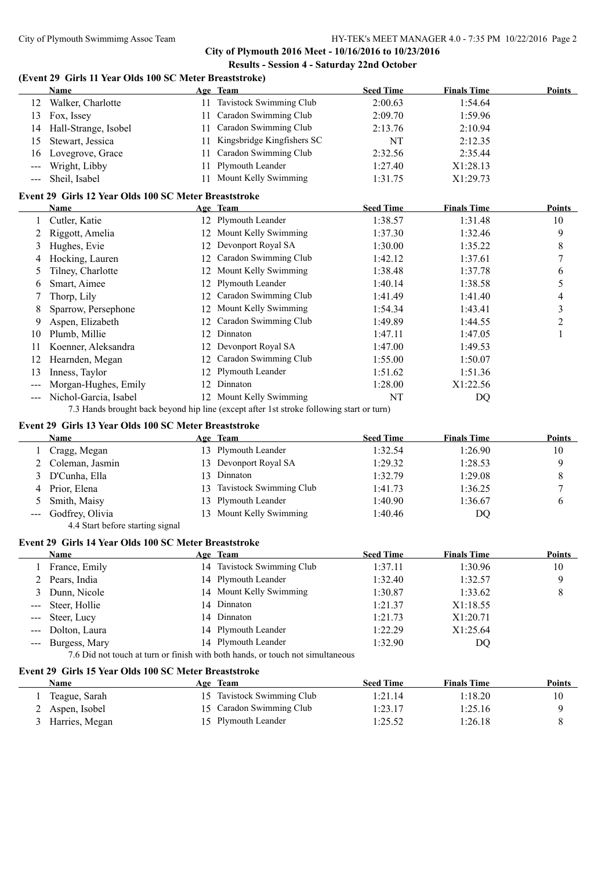**City of Plymouth 2016 Meet - 10/16/2016 to 10/23/2016 Results - Session 4 - Saturday 22nd October**

## **(Event 29 Girls 11 Year Olds 100 SC Meter Breaststroke)**

|                     | <b>Name</b>                                           |    | Age Team                                                                                 | <b>Seed Time</b> | <b>Finals Time</b> | <b>Points</b>            |
|---------------------|-------------------------------------------------------|----|------------------------------------------------------------------------------------------|------------------|--------------------|--------------------------|
|                     | 12 Walker, Charlotte                                  |    | 11 Tavistock Swimming Club                                                               | 2:00.63          | 1:54.64            |                          |
| 13                  | Fox, Issey                                            |    | 11 Caradon Swimming Club                                                                 | 2:09.70          | 1:59.96            |                          |
| 14                  | Hall-Strange, Isobel                                  |    | 11 Caradon Swimming Club                                                                 | 2:13.76          | 2:10.94            |                          |
| 15                  | Stewart, Jessica                                      |    | 11 Kingsbridge Kingfishers SC                                                            | NT               | 2:12.35            |                          |
| 16                  | Lovegrove, Grace                                      | 11 | Caradon Swimming Club                                                                    | 2:32.56          | 2:35.44            |                          |
| $---$               | Wright, Libby                                         | 11 | Plymouth Leander                                                                         | 1:27.40          | X1:28.13           |                          |
| $\qquad \qquad - -$ | Sheil, Isabel                                         |    | 11 Mount Kelly Swimming                                                                  | 1:31.75          | X1:29.73           |                          |
|                     | Event 29 Girls 12 Year Olds 100 SC Meter Breaststroke |    |                                                                                          |                  |                    |                          |
|                     | Name                                                  |    | Age Team                                                                                 | <b>Seed Time</b> | <b>Finals Time</b> | Points                   |
| 1                   | Cutler, Katie                                         |    | 12 Plymouth Leander                                                                      | 1:38.57          | 1:31.48            | 10                       |
| 2                   | Riggott, Amelia                                       |    | 12 Mount Kelly Swimming                                                                  | 1:37.30          | 1:32.46            | 9                        |
| 3                   | Hughes, Evie                                          |    | 12 Devonport Royal SA                                                                    | 1:30.00          | 1:35.22            | 8                        |
| 4                   | Hocking, Lauren                                       |    | 12 Caradon Swimming Club                                                                 | 1:42.12          | 1:37.61            | 7                        |
| 5                   | Tilney, Charlotte                                     |    | 12 Mount Kelly Swimming                                                                  | 1:38.48          | 1:37.78            | 6                        |
| 6                   | Smart, Aimee                                          |    | 12 Plymouth Leander                                                                      | 1:40.14          | 1:38.58            | 5                        |
| 7                   | Thorp, Lily                                           |    | 12 Caradon Swimming Club                                                                 | 1:41.49          | 1:41.40            | $\overline{\mathcal{L}}$ |
| 8                   | Sparrow, Persephone                                   |    | 12 Mount Kelly Swimming                                                                  | 1:54.34          | 1:43.41            | 3                        |
| 9                   | Aspen, Elizabeth                                      |    | 12 Caradon Swimming Club                                                                 | 1:49.89          | 1:44.55            | 2                        |
| 10                  | Plumb, Millie                                         |    | 12 Dinnaton                                                                              | 1:47.11          | 1:47.05            | 1                        |
| 11                  | Koenner, Aleksandra                                   |    | 12 Devonport Royal SA                                                                    | 1:47.00          | 1:49.53            |                          |
| 12                  | Hearnden, Megan                                       |    | 12 Caradon Swimming Club                                                                 | 1:55.00          | 1:50.07            |                          |
| 13                  | Inness, Taylor                                        |    | 12 Plymouth Leander                                                                      | 1:51.62          | 1:51.36            |                          |
| ---                 | Morgan-Hughes, Emily                                  |    | 12 Dinnaton                                                                              | 1:28.00          | X1:22.56           |                          |
| $---$               | Nichol-Garcia, Isabel                                 |    | 12 Mount Kelly Swimming                                                                  | NT               | DQ                 |                          |
|                     |                                                       |    | 7.3 Hands brought back beyond hip line (except after 1st stroke following start or turn) |                  |                    |                          |
|                     | Event 29 Girls 13 Year Olds 100 SC Meter Breaststroke |    |                                                                                          |                  |                    |                          |
|                     | Name                                                  |    | Age Team                                                                                 | <b>Seed Time</b> | <b>Finals Time</b> | Points                   |
| 1                   | Cragg, Megan                                          |    | 13 Plymouth Leander                                                                      | 1:32.54          | 1:26.90            | 10                       |
| 2                   | Coleman, Jasmin                                       |    | 13 Devonport Royal SA                                                                    | 1:29.32          | 1:28.53            | 9                        |
| 3                   | D'Cunha, Ella                                         |    | 13 Dinnaton                                                                              | 1:32.79          | 1:29.08            | 8                        |
| 4                   | Prior, Elena                                          |    | 13 Tavistock Swimming Club                                                               | 1:41.73          | 1:36.25            | 7                        |
| 5                   | Smith, Maisy                                          | 13 | Plymouth Leander                                                                         | 1:40.90          | 1:36.67            | 6                        |
| $---$               | Godfrey, Olivia                                       |    | 13 Mount Kelly Swimming                                                                  | 1:40.46          | DQ                 |                          |
|                     | 4.4 Start before starting signal                      |    |                                                                                          |                  |                    |                          |
|                     | Event 29 Girls 14 Year Olds 100 SC Meter Breaststroke |    |                                                                                          |                  |                    |                          |
|                     | <b>Name</b>                                           |    | Age Team                                                                                 | <b>Seed Time</b> | <b>Finals Time</b> | <b>Points</b>            |
|                     | France, Emily                                         | 14 | Tavistock Swimming Club                                                                  | 1:37.11          | 1:30.96            | 10                       |
| 2                   | Pears, India                                          | 14 | Plymouth Leander                                                                         | 1:32.40          | 1:32.57            | 9                        |
| 3                   | Dunn, Nicole                                          | 14 | Mount Kelly Swimming                                                                     | 1:30.87          | 1:33.62            | 8                        |
|                     | Steer, Hollie                                         | 14 | Dinnaton                                                                                 | 1:21.37          | X1:18.55           |                          |
|                     | Steer, Lucy                                           |    | 14 Dinnaton                                                                              | 1:21.73          | X1:20.71           |                          |
|                     | Dolton, Laura                                         |    | 14 Plymouth Leander                                                                      | 1:22.29          | X1:25.64           |                          |
| ---                 | Burgess, Mary                                         |    | 14 Plymouth Leander                                                                      | 1:32.90          | DQ                 |                          |
|                     |                                                       |    | 7.6 Did not touch at turn or finish with both hands, or touch not simultaneous           |                  |                    |                          |
|                     | Event 29 Girls 15 Year Olds 100 SC Meter Breaststroke |    |                                                                                          |                  |                    |                          |
|                     | <b>Name</b>                                           |    | Age Team                                                                                 | <b>Seed Time</b> | <b>Finals Time</b> | <b>Points</b>            |
| 1                   | Teague, Sarah                                         |    | 15 Tavistock Swimming Club                                                               | 1:21.14          | 1:18.20            | 10                       |
| 2                   | Aspen, Isobel                                         |    | 15 Caradon Swimming Club                                                                 | 1:23.17          | 1:25.16            | 9                        |
| 3                   | Harries, Megan                                        |    | 15 Plymouth Leander                                                                      | 1:25.52          | 1:26.18            | 8                        |
|                     |                                                       |    |                                                                                          |                  |                    |                          |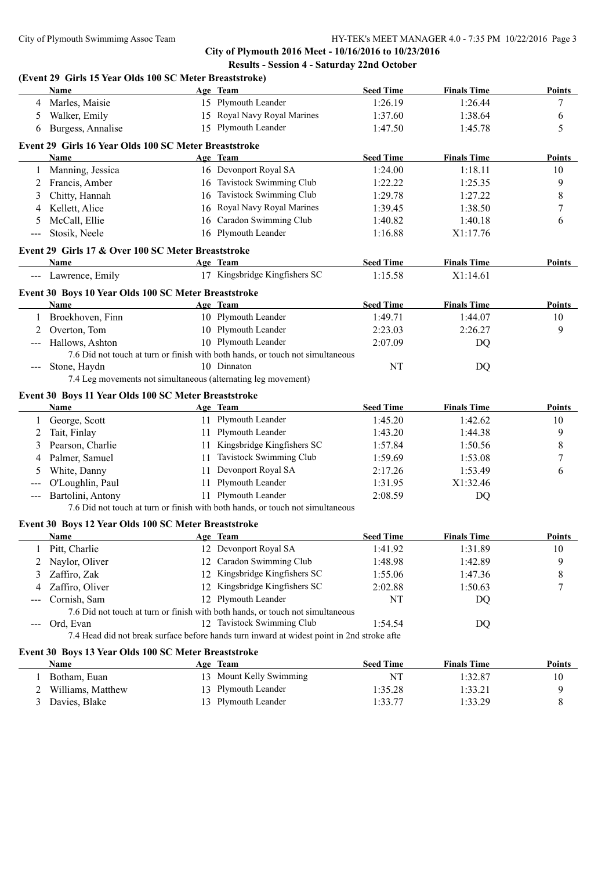**City of Plymouth 2016 Meet - 10/16/2016 to 10/23/2016 Results - Session 4 - Saturday 22nd October**

|                                                                                                | (Event 29 Girls 15 Year Olds 100 SC Meter Breaststroke)<br>Name |    | Age Team                                                                                   | <b>Seed Time</b>   | <b>Finals Time</b> | <b>Points</b>    |
|------------------------------------------------------------------------------------------------|-----------------------------------------------------------------|----|--------------------------------------------------------------------------------------------|--------------------|--------------------|------------------|
| 4                                                                                              | Marles, Maisie                                                  |    | 15 Plymouth Leander                                                                        | 1:26.19            | 1:26.44            | 7                |
| 5                                                                                              | Walker, Emily                                                   |    | 15 Royal Navy Royal Marines                                                                | 1:37.60            | 1:38.64            | 6                |
| 6                                                                                              | Burgess, Annalise                                               |    | 15 Plymouth Leander                                                                        | 1:47.50            | 1:45.78            | 5                |
|                                                                                                |                                                                 |    |                                                                                            |                    |                    |                  |
|                                                                                                | Event 29 Girls 16 Year Olds 100 SC Meter Breaststroke           |    |                                                                                            |                    |                    |                  |
|                                                                                                | <b>Name</b>                                                     |    | Age Team                                                                                   | <b>Seed Time</b>   | <b>Finals Time</b> | Points           |
| 1                                                                                              | Manning, Jessica                                                |    | 16 Devonport Royal SA                                                                      | 1:24.00            | 1:18.11            | 10               |
| 2                                                                                              | Francis, Amber                                                  |    | 16 Tavistock Swimming Club                                                                 | 1:22.22            | 1:25.35            | 9                |
| 3                                                                                              | Chitty, Hannah                                                  |    | 16 Tavistock Swimming Club                                                                 | 1:29.78            | 1:27.22            | 8                |
| 4                                                                                              | Kellett, Alice                                                  |    | 16 Royal Navy Royal Marines                                                                | 1:39.45            | 1:38.50            | 7                |
| 5                                                                                              | McCall, Ellie                                                   |    | 16 Caradon Swimming Club                                                                   | 1:40.82            | 1:40.18            | 6                |
| $---$                                                                                          | Stosik, Neele                                                   |    | 16 Plymouth Leander                                                                        | 1:16.88            | X1:17.76           |                  |
|                                                                                                | Event 29 Girls 17 & Over 100 SC Meter Breaststroke              |    |                                                                                            |                    |                    |                  |
|                                                                                                | Name                                                            |    | Age Team                                                                                   | <b>Seed Time</b>   | <b>Finals Time</b> | Points           |
|                                                                                                | --- Lawrence, Emily                                             |    | 17 Kingsbridge Kingfishers SC                                                              | 1:15.58            | X1:14.61           |                  |
|                                                                                                | Event 30 Boys 10 Year Olds 100 SC Meter Breaststroke            |    |                                                                                            |                    |                    |                  |
|                                                                                                | Name                                                            |    | Age Team                                                                                   | <b>Seed Time</b>   | <b>Finals Time</b> | Points           |
|                                                                                                | 1 Broekhoven, Finn                                              |    | 10 Plymouth Leander                                                                        | 1:49.71            | 1:44.07            | 10               |
| 2                                                                                              | Overton, Tom                                                    |    | 10 Plymouth Leander                                                                        | 2:23.03            | 2:26.27            | 9                |
|                                                                                                | Hallows, Ashton                                                 |    | 10 Plymouth Leander                                                                        | 2:07.09            | DQ                 |                  |
|                                                                                                |                                                                 |    | 7.6 Did not touch at turn or finish with both hands, or touch not simultaneous             |                    |                    |                  |
| $\qquad \qquad - -$                                                                            | Stone, Haydn                                                    |    | 10 Dinnaton                                                                                | NT                 | DQ                 |                  |
|                                                                                                |                                                                 |    | 7.4 Leg movements not simultaneous (alternating leg movement)                              |                    |                    |                  |
|                                                                                                | Event 30 Boys 11 Year Olds 100 SC Meter Breaststroke            |    |                                                                                            |                    |                    |                  |
|                                                                                                | Name                                                            |    | Age Team                                                                                   | <b>Seed Time</b>   | <b>Finals Time</b> | Points           |
| 1                                                                                              | George, Scott                                                   |    | 11 Plymouth Leander                                                                        | 1:45.20            | 1:42.62            | 10               |
| 2                                                                                              | Tait, Finlay                                                    |    | 11 Plymouth Leander                                                                        | 1:43.20            | 1:44.38            | 9                |
| 3                                                                                              | Pearson, Charlie                                                |    | 11 Kingsbridge Kingfishers SC                                                              | 1:57.84            | 1:50.56            | 8                |
| 4                                                                                              | Palmer, Samuel                                                  |    | 11 Tavistock Swimming Club                                                                 | 1:59.69            | 1:53.08            | 7                |
| 5                                                                                              | White, Danny                                                    |    | 11 Devonport Royal SA                                                                      | 2:17.26            | 1:53.49            | 6                |
|                                                                                                | O'Loughlin, Paul                                                |    | 11 Plymouth Leander                                                                        | 1:31.95            | X1:32.46           |                  |
| $\qquad \qquad - -$                                                                            | Bartolini, Antony                                               |    | 11 Plymouth Leander                                                                        | 2:08.59            | DQ                 |                  |
|                                                                                                |                                                                 |    | 7.6 Did not touch at turn or finish with both hands, or touch not simultaneous             |                    |                    |                  |
|                                                                                                | Event 30 Boys 12 Year Olds 100 SC Meter Breaststroke            |    |                                                                                            |                    |                    |                  |
|                                                                                                | Name                                                            |    | <u>Age Team</u>                                                                            | <b>Seed Time</b>   | <b>Finals Time</b> | <u>Points</u>    |
|                                                                                                | Pitt, Charlie                                                   |    | 12 Devonport Royal SA                                                                      | 1:41.92            | 1:31.89            | 10               |
| 2                                                                                              | Naylor, Oliver                                                  | 12 | Caradon Swimming Club                                                                      | 1:48.98            | 1:42.89            | 9                |
| 3                                                                                              | Zaffiro, Zak                                                    |    | 12 Kingsbridge Kingfishers SC                                                              | 1:55.06            | 1:47.36            | 8                |
| 4                                                                                              | Zaffiro, Oliver                                                 |    | 12 Kingsbridge Kingfishers SC                                                              | 2:02.88            | 1:50.63            | 7                |
|                                                                                                | Cornish, Sam                                                    |    | 12 Plymouth Leander                                                                        | NT                 | DQ                 |                  |
|                                                                                                |                                                                 |    | 7.6 Did not touch at turn or finish with both hands, or touch not simultaneous             |                    |                    |                  |
| $\frac{1}{2} \left( \frac{1}{2} \right) \left( \frac{1}{2} \right) \left( \frac{1}{2} \right)$ | Ord, Evan                                                       |    | 12 Tavistock Swimming Club                                                                 | 1:54.54            | DQ                 |                  |
|                                                                                                |                                                                 |    | 7.4 Head did not break surface before hands turn inward at widest point in 2nd stroke afte |                    |                    |                  |
|                                                                                                |                                                                 |    |                                                                                            |                    |                    |                  |
|                                                                                                | Event 30 Boys 13 Year Olds 100 SC Meter Breaststroke            |    |                                                                                            |                    |                    |                  |
|                                                                                                | Name                                                            |    | Age Team                                                                                   | <b>Seed Time</b>   | <b>Finals Time</b> | <b>Points</b>    |
|                                                                                                |                                                                 |    | 13 Mount Kelly Swimming                                                                    | NT                 | 1:32.87            | 10               |
| 1                                                                                              | Botham, Euan                                                    |    |                                                                                            |                    |                    |                  |
| 2<br>3                                                                                         | Williams, Matthew<br>Davies, Blake                              | 13 | Plymouth Leander<br>13 Plymouth Leander                                                    | 1:35.28<br>1:33.77 | 1:33.21<br>1:33.29 | 9<br>$\,$ 8 $\,$ |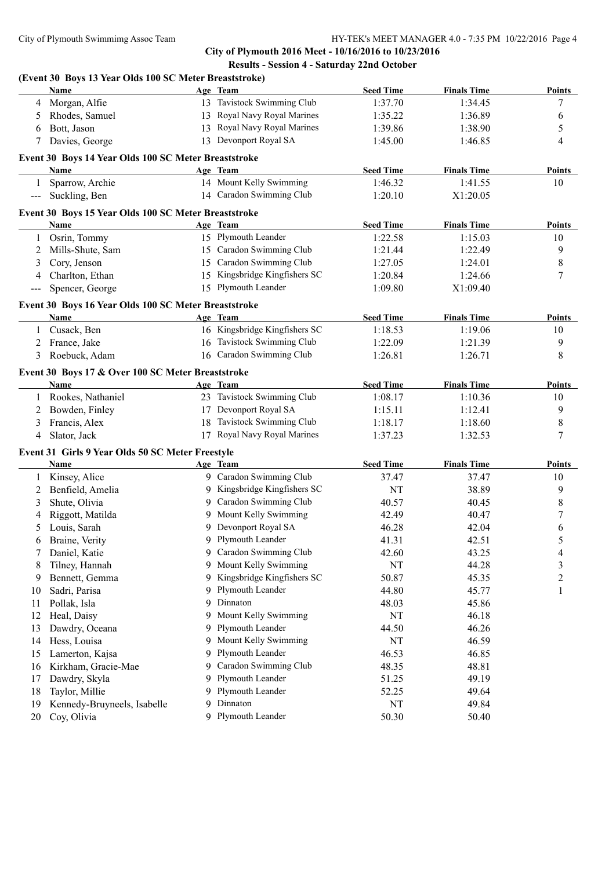**City of Plymouth 2016 Meet - 10/16/2016 to 10/23/2016 Results - Session 4 - Saturday 22nd October**

# **(Event 30 Boys 13 Year Olds 100 SC Meter Breaststroke)**

|                   | Name                                                 |    | Age Team                      | <b>Seed Time</b> | <b>Finals Time</b> | <b>Points</b> |
|-------------------|------------------------------------------------------|----|-------------------------------|------------------|--------------------|---------------|
| 4                 | Morgan, Alfie                                        |    | 13 Tavistock Swimming Club    | 1:37.70          | 1:34.45            | 7             |
| 5                 | Rhodes, Samuel                                       |    | 13 Royal Navy Royal Marines   | 1:35.22          | 1:36.89            | 6             |
| 6                 | Bott, Jason                                          |    | 13 Royal Navy Royal Marines   | 1:39.86          | 1:38.90            | 5             |
| 7                 | Davies, George                                       |    | 13 Devonport Royal SA         | 1:45.00          | 1:46.85            | 4             |
|                   | Event 30 Boys 14 Year Olds 100 SC Meter Breaststroke |    |                               |                  |                    |               |
|                   | Name                                                 |    | Age Team                      | <b>Seed Time</b> | <b>Finals Time</b> | <b>Points</b> |
| 1                 | Sparrow, Archie                                      |    | 14 Mount Kelly Swimming       | 1:46.32          | 1:41.55            | 10            |
| $---$             | Suckling, Ben                                        |    | 14 Caradon Swimming Club      | 1:20.10          | X1:20.05           |               |
|                   | Event 30 Boys 15 Year Olds 100 SC Meter Breaststroke |    |                               |                  |                    |               |
|                   | Name                                                 |    | Age Team                      | <b>Seed Time</b> | <b>Finals Time</b> | <b>Points</b> |
| 1                 | Osrin, Tommy                                         |    | 15 Plymouth Leander           | 1:22.58          | 1:15.03            | 10            |
| 2                 | Mills-Shute, Sam                                     |    | 15 Caradon Swimming Club      | 1:21.44          | 1:22.49            | 9             |
| 3                 | Cory, Jenson                                         |    | 15 Caradon Swimming Club      | 1:27.05          | 1:24.01            | 8             |
| 4                 | Charlton, Ethan                                      |    | 15 Kingsbridge Kingfishers SC | 1:20.84          | 1:24.66            | 7             |
| $\qquad \qquad -$ | Spencer, George                                      |    | 15 Plymouth Leander           | 1:09.80          | X1:09.40           |               |
|                   | Event 30 Boys 16 Year Olds 100 SC Meter Breaststroke |    |                               |                  |                    |               |
|                   | Name                                                 |    | Age Team                      | <b>Seed Time</b> | <b>Finals Time</b> | <b>Points</b> |
| 1                 | Cusack, Ben                                          |    | 16 Kingsbridge Kingfishers SC | 1:18.53          | 1:19.06            | 10            |
| 2                 | France, Jake                                         |    | 16 Tavistock Swimming Club    | 1:22.09          | 1:21.39            | 9             |
|                   | 3 Roebuck, Adam                                      |    | 16 Caradon Swimming Club      | 1:26.81          | 1:26.71            | 8             |
|                   | Event 30 Boys 17 & Over 100 SC Meter Breaststroke    |    |                               |                  |                    |               |
|                   | Name                                                 |    | Age Team                      | <b>Seed Time</b> | <b>Finals Time</b> | <b>Points</b> |
| 1                 | Rookes, Nathaniel                                    |    | 23 Tavistock Swimming Club    | 1:08.17          | 1:10.36            | 10            |
| 2                 | Bowden, Finley                                       |    | 17 Devonport Royal SA         | 1:15.11          | 1:12.41            | 9             |
| 3                 | Francis, Alex                                        |    | 18 Tavistock Swimming Club    | 1:18.17          | 1:18.60            | 8             |
| 4                 | Slator, Jack                                         |    | 17 Royal Navy Royal Marines   | 1:37.23          | 1:32.53            | 7             |
|                   | Event 31 Girls 9 Year Olds 50 SC Meter Freestyle     |    |                               |                  |                    |               |
|                   | Name                                                 |    | Age Team                      | <b>Seed Time</b> | <b>Finals Time</b> | <b>Points</b> |
| 1                 | Kinsey, Alice                                        |    | 9 Caradon Swimming Club       | 37.47            | 37.47              | 10            |
| 2                 | Benfield, Amelia                                     |    | 9 Kingsbridge Kingfishers SC  | NT               | 38.89              | 9             |
| 3                 | Shute, Olivia                                        |    | 9 Caradon Swimming Club       | 40.57            | 40.45              | 8             |
| 4                 | Riggott, Matilda                                     |    | 9 Mount Kelly Swimming        | 42.49            | 40.47              | 7             |
| 5                 | Louis, Sarah                                         |    | Devonport Royal SA            | 46.28            | 42.04              | 6             |
| 6                 | Braine, Verity                                       |    | 9 Plymouth Leander            | 41.31            | 42.51              | 5             |
|                   | Daniel, Katie                                        | 9  | Caradon Swimming Club         | 42.60            | 43.25              | 4             |
| 8                 | Tilney, Hannah                                       | 9  | Mount Kelly Swimming          | NT               | 44.28              | 3             |
| 9                 | Bennett, Gemma                                       | 9  | Kingsbridge Kingfishers SC    | 50.87            | 45.35              | 2             |
| 10                | Sadri, Parisa                                        | 9  | Plymouth Leander              | 44.80            | 45.77              | 1             |
| 11                | Pollak, Isla                                         | 9. | Dinnaton                      | 48.03            | 45.86              |               |
| 12                | Heal, Daisy                                          | 9. | Mount Kelly Swimming          | NT               | 46.18              |               |
| 13                | Dawdry, Oceana                                       | 9. | Plymouth Leander              | 44.50            | 46.26              |               |
| 14                | Hess, Louisa                                         | 9. | Mount Kelly Swimming          | NT               | 46.59              |               |
| 15                | Lamerton, Kajsa                                      | 9  | Plymouth Leander              | 46.53            | 46.85              |               |
|                   | Kirkham, Gracie-Mae                                  | 9. | Caradon Swimming Club         | 48.35            | 48.81              |               |
| 16                |                                                      | 9  | Plymouth Leander              | 51.25            | 49.19              |               |
| 17                | Dawdry, Skyla                                        | 9  | Plymouth Leander              |                  |                    |               |
| 18                | Taylor, Millie                                       |    |                               | 52.25            | 49.64              |               |
| 19                | Kennedy-Bruyneels, Isabelle                          | 9. | Dinnaton                      | NT               | 49.84              |               |
| 20                | Coy, Olivia                                          |    | 9 Plymouth Leander            | 50.30            | 50.40              |               |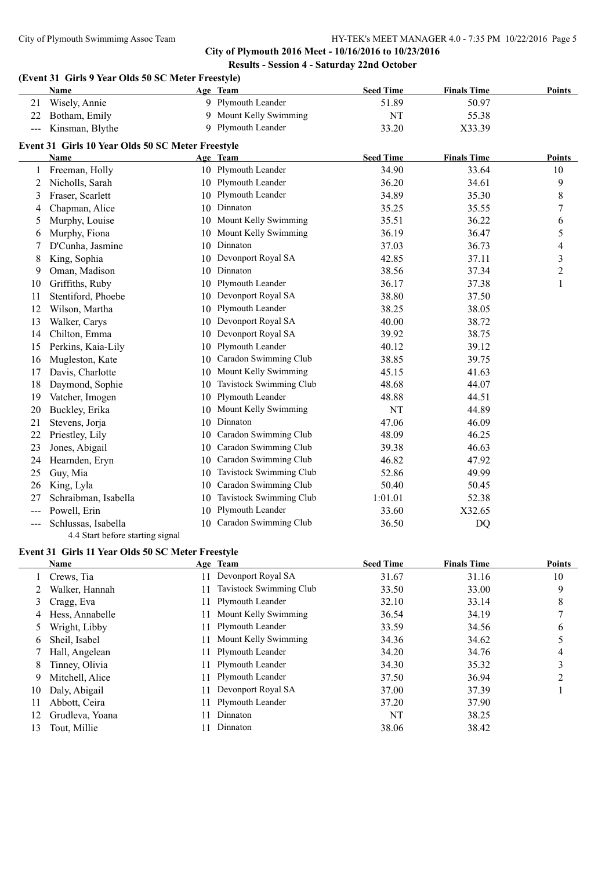#### **City of Plymouth 2016 Meet - 10/16/2016 to 10/23/2016 Results - Session 4 - Saturday 22nd October**

|               | Name                                              |    | Age Team                 | <b>Seed Time</b> | <b>Finals Time</b> | Points         |
|---------------|---------------------------------------------------|----|--------------------------|------------------|--------------------|----------------|
| 21            | Wisely, Annie                                     |    | 9 Plymouth Leander       | 51.89            | 50.97              |                |
| 22            | Botham, Emily                                     |    | 9 Mount Kelly Swimming   | NT               | 55.38              |                |
| $\frac{1}{2}$ | Kinsman, Blythe                                   |    | 9 Plymouth Leander       | 33.20            | X33.39             |                |
|               | Event 31 Girls 10 Year Olds 50 SC Meter Freestyle |    |                          |                  |                    |                |
|               | <b>Name</b>                                       |    | Age Team                 | <b>Seed Time</b> | <b>Finals Time</b> | Points         |
|               | 1 Freeman, Holly                                  |    | 10 Plymouth Leander      | 34.90            | 33.64              | 10             |
| 2             | Nicholls, Sarah                                   |    | 10 Plymouth Leander      | 36.20            | 34.61              | 9              |
| 3             | Fraser, Scarlett                                  | 10 | Plymouth Leander         | 34.89            | 35.30              | 8              |
| 4             | Chapman, Alice                                    |    | 10 Dinnaton              | 35.25            | 35.55              | 7              |
| 5             | Murphy, Louise                                    |    | 10 Mount Kelly Swimming  | 35.51            | 36.22              | 6              |
| 6             | Murphy, Fiona                                     |    | 10 Mount Kelly Swimming  | 36.19            | 36.47              | 5              |
| 7             | D'Cunha, Jasmine                                  |    | 10 Dinnaton              | 37.03            | 36.73              | 4              |
| 8             | King, Sophia                                      | 10 | Devonport Royal SA       | 42.85            | 37.11              | 3              |
| 9             | Oman, Madison                                     | 10 | Dinnaton                 | 38.56            | 37.34              | $\overline{c}$ |
| 10            | Griffiths, Ruby                                   | 10 | Plymouth Leander         | 36.17            | 37.38              | $\mathbf{1}$   |
| 11            | Stentiford, Phoebe                                |    | 10 Devonport Royal SA    | 38.80            | 37.50              |                |
| 12            | Wilson, Martha                                    | 10 | Plymouth Leander         | 38.25            | 38.05              |                |
| 13            | Walker, Carys                                     | 10 | Devonport Royal SA       | 40.00            | 38.72              |                |
| 14            | Chilton, Emma                                     | 10 | Devonport Royal SA       | 39.92            | 38.75              |                |
| 15            | Perkins, Kaia-Lily                                | 10 | Plymouth Leander         | 40.12            | 39.12              |                |
| 16            | Mugleston, Kate                                   | 10 | Caradon Swimming Club    | 38.85            | 39.75              |                |
| 17            | Davis, Charlotte                                  |    | 10 Mount Kelly Swimming  | 45.15            | 41.63              |                |
| 18            | Daymond, Sophie                                   | 10 | Tavistock Swimming Club  | 48.68            | 44.07              |                |
| 19            | Vatcher, Imogen                                   | 10 | Plymouth Leander         | 48.88            | 44.51              |                |
| 20            | Buckley, Erika                                    | 10 | Mount Kelly Swimming     | NT               | 44.89              |                |
| 21            | Stevens, Jorja                                    | 10 | Dinnaton                 | 47.06            | 46.09              |                |
| 22            | Priestley, Lily                                   | 10 | Caradon Swimming Club    | 48.09            | 46.25              |                |
| 23            | Jones, Abigail                                    | 10 | Caradon Swimming Club    | 39.38            | 46.63              |                |
| 24            | Hearnden, Eryn                                    | 10 | Caradon Swimming Club    | 46.82            | 47.92              |                |
| 25            | Guy, Mia                                          | 10 | Tavistock Swimming Club  | 52.86            | 49.99              |                |
| 26            | King, Lyla                                        | 10 | Caradon Swimming Club    | 50.40            | 50.45              |                |
| 27            | Schraibman, Isabella                              | 10 | Tavistock Swimming Club  | 1:01.01          | 52.38              |                |
| $--$          | Powell, Erin                                      | 10 | Plymouth Leander         | 33.60            | X32.65             |                |
| ---           | Schlussas, Isabella                               |    | 10 Caradon Swimming Club | 36.50            | <b>DQ</b>          |                |

4.4 Start before starting signal

# **Event 31 Girls 11 Year Olds 50 SC Meter Freestyle**

|    | Name            |     | Age Team                | <b>Seed Time</b> | <b>Finals Time</b> | <b>Points</b> |
|----|-----------------|-----|-------------------------|------------------|--------------------|---------------|
|    | Crews, Tia      | 11- | Devonport Royal SA      | 31.67            | 31.16              | 10            |
|    | Walker, Hannah  |     | Tavistock Swimming Club | 33.50            | 33.00              | 9             |
| 3  | Cragg, Eva      |     | 11 Plymouth Leander     | 32.10            | 33.14              | 8             |
| 4  | Hess, Annabelle |     | 11 Mount Kelly Swimming | 36.54            | 34.19              | 7             |
|    | Wright, Libby   |     | 11 Plymouth Leander     | 33.59            | 34.56              | 6             |
| 6  | Sheil, Isabel   |     | 11 Mount Kelly Swimming | 34.36            | 34.62              |               |
|    | Hall, Angelean  |     | 11 Plymouth Leander     | 34.20            | 34.76              | 4             |
| 8  | Tinney, Olivia  |     | 11 Plymouth Leander     | 34.30            | 35.32              | 3             |
| 9  | Mitchell, Alice |     | 11 Plymouth Leander     | 37.50            | 36.94              | ာ             |
| 10 | Daly, Abigail   |     | Devonport Royal SA      | 37.00            | 37.39              |               |
| 11 | Abbott, Ceira   |     | 11 Plymouth Leander     | 37.20            | 37.90              |               |
| 12 | Grudleva, Yoana |     | Dinnaton                | NT               | 38.25              |               |
| 13 | Tout, Millie    |     | Dinnaton                | 38.06            | 38.42              |               |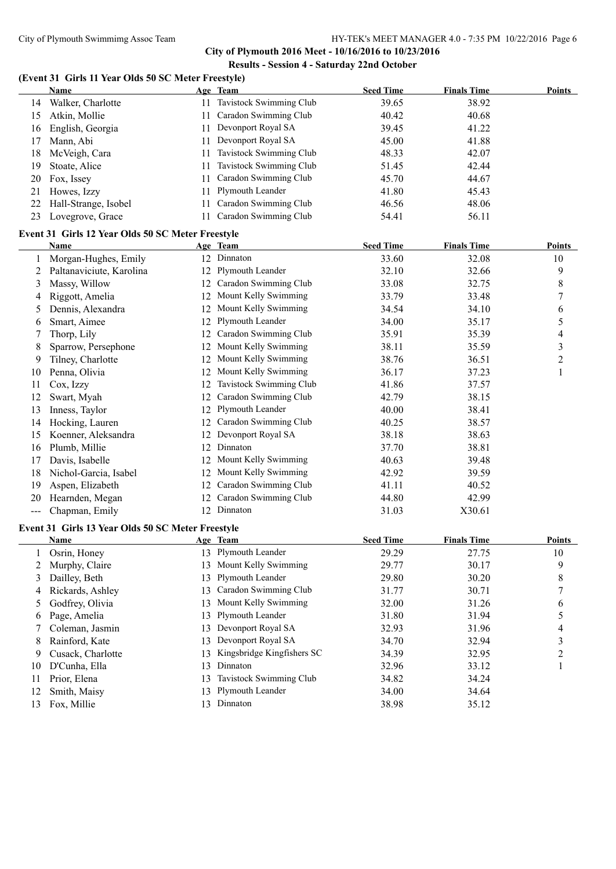**City of Plymouth 2016 Meet - 10/16/2016 to 10/23/2016 Results - Session 4 - Saturday 22nd October**

## **(Event 31 Girls 11 Year Olds 50 SC Meter Freestyle)**

|                   | <b>Name</b>                                       |    | Age Team                        | <b>Seed Time</b> | <b>Finals Time</b> | <b>Points</b>  |
|-------------------|---------------------------------------------------|----|---------------------------------|------------------|--------------------|----------------|
| 14                | Walker, Charlotte                                 |    | 11 Tavistock Swimming Club      | 39.65            | 38.92              |                |
| 15                | Atkin, Mollie                                     | 11 | Caradon Swimming Club           | 40.42            | 40.68              |                |
| 16                | English, Georgia                                  | 11 | Devonport Royal SA              | 39.45            | 41.22              |                |
| 17                | Mann, Abi                                         | 11 | Devonport Royal SA              | 45.00            | 41.88              |                |
| 18                | McVeigh, Cara                                     | 11 | Tavistock Swimming Club         | 48.33            | 42.07              |                |
| 19                | Stoate, Alice                                     | 11 | Tavistock Swimming Club         | 51.45            | 42.44              |                |
| 20                | Fox, Issey                                        | 11 | Caradon Swimming Club           | 45.70            | 44.67              |                |
| 21                | Howes, Izzy                                       | 11 | Plymouth Leander                | 41.80            | 45.43              |                |
| 22                | Hall-Strange, Isobel                              | 11 | Caradon Swimming Club           | 46.56            | 48.06              |                |
| 23                | Lovegrove, Grace                                  | 11 | Caradon Swimming Club           | 54.41            | 56.11              |                |
|                   | Event 31 Girls 12 Year Olds 50 SC Meter Freestyle |    |                                 |                  |                    |                |
|                   | Name                                              |    | Age Team                        | <b>Seed Time</b> | <b>Finals Time</b> | <b>Points</b>  |
|                   | 1 Morgan-Hughes, Emily                            |    | 12 Dinnaton                     | 33.60            | 32.08              | 10             |
| 2                 | Paltanaviciute, Karolina                          | 12 | Plymouth Leander                | 32.10            | 32.66              | 9              |
| 3                 | Massy, Willow                                     |    | 12 Caradon Swimming Club        | 33.08            | 32.75              | $\,$ $\,$      |
| 4                 | Riggott, Amelia                                   |    | 12 Mount Kelly Swimming         | 33.79            | 33.48              | 7              |
| 5                 | Dennis, Alexandra                                 | 12 | Mount Kelly Swimming            | 34.54            | 34.10              | 6              |
| 6                 | Smart, Aimee                                      |    | 12 Plymouth Leander             | 34.00            | 35.17              | 5              |
| 7                 | Thorp, Lily                                       |    | 12 Caradon Swimming Club        | 35.91            | 35.39              | 4              |
| 8                 | Sparrow, Persephone                               |    | 12 Mount Kelly Swimming         | 38.11            | 35.59              | $\mathfrak{Z}$ |
| 9                 | Tilney, Charlotte                                 |    | 12 Mount Kelly Swimming         | 38.76            | 36.51              | $\overline{c}$ |
| 10                | Penna, Olivia                                     | 12 | Mount Kelly Swimming            | 36.17            | 37.23              | $\mathbf{1}$   |
| 11                | Cox, Izzy                                         | 12 | Tavistock Swimming Club         | 41.86            | 37.57              |                |
| 12                | Swart, Myah                                       | 12 | Caradon Swimming Club           | 42.79            | 38.15              |                |
| 13                | Inness, Taylor                                    | 12 | Plymouth Leander                | 40.00            | 38.41              |                |
| 14                | Hocking, Lauren                                   | 12 | Caradon Swimming Club           | 40.25            | 38.57              |                |
| 15                | Koenner, Aleksandra                               | 12 | Devonport Royal SA              | 38.18            | 38.63              |                |
| 16                | Plumb, Millie                                     | 12 | Dinnaton                        | 37.70            | 38.81              |                |
| 17                | Davis, Isabelle                                   | 12 | Mount Kelly Swimming            | 40.63            | 39.48              |                |
| 18                | Nichol-Garcia, Isabel                             | 12 | Mount Kelly Swimming            | 42.92            | 39.59              |                |
| 19                | Aspen, Elizabeth                                  | 12 | Caradon Swimming Club           | 41.11            | 40.52              |                |
| 20                | Hearnden, Megan                                   |    | 12 Caradon Swimming Club        | 44.80            | 42.99              |                |
|                   | Chapman, Emily                                    |    | 12 Dinnaton                     | 31.03            | X30.61             |                |
| $\qquad \qquad -$ |                                                   |    |                                 |                  |                    |                |
|                   | Event 31 Girls 13 Year Olds 50 SC Meter Freestyle |    |                                 |                  |                    |                |
|                   | <b>Name</b>                                       |    | Age Team<br>13 Plymouth Leander | <b>Seed Time</b> | <b>Finals Time</b> | <b>Points</b>  |
| $\mathbf{I}$      | Osrin, Honey                                      |    |                                 | 29.29            | 27.75              | 10             |
| 2                 | Murphy, Claire                                    | 13 | Mount Kelly Swimming            | 29.77            | 30.17              | 9              |
| 3                 | Dailley, Beth                                     | 13 | Plymouth Leander                | 29.80            | 30.20              | $\,$ $\,$      |
| 4                 | Rickards, Ashley                                  | 13 | Caradon Swimming Club           | 31.77            | 30.71              | 7              |
| 5                 | Godfrey, Olivia                                   | 13 | Mount Kelly Swimming            | 32.00            | 31.26              | 6              |
| 6                 | Page, Amelia                                      | 13 | Plymouth Leander                | 31.80            | 31.94              | 5              |
| 7                 | Coleman, Jasmin                                   | 13 | Devonport Royal SA              | 32.93            | 31.96              | 4              |
| 8                 | Rainford, Kate                                    | 13 | Devonport Royal SA              | 34.70            | 32.94              | 3              |
| 9                 | Cusack, Charlotte                                 | 13 | Kingsbridge Kingfishers SC      | 34.39            | 32.95              | $\overline{c}$ |
| 10                | D'Cunha, Ella                                     | 13 | Dinnaton                        | 32.96            | 33.12              | 1              |
| 11                | Prior, Elena                                      | 13 | Tavistock Swimming Club         | 34.82            | 34.24              |                |
| 12                | Smith, Maisy                                      | 13 | Plymouth Leander                | 34.00            | 34.64              |                |
| 13                | Fox, Millie                                       |    | 13 Dinnaton                     | 38.98            | 35.12              |                |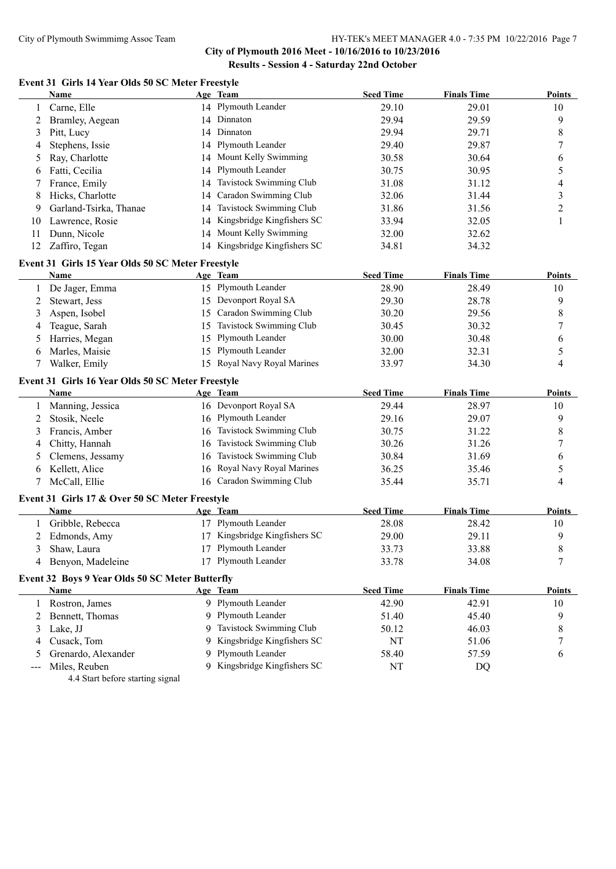**City of Plymouth 2016 Meet - 10/16/2016 to 10/23/2016 Results - Session 4 - Saturday 22nd October**

## **Event 31 Girls 14 Year Olds 50 SC Meter Freestyle**

|     | <b>Name</b>                                       |    | Age Team                                             | <b>Seed Time</b> | <b>Finals Time</b> | <b>Points</b>  |
|-----|---------------------------------------------------|----|------------------------------------------------------|------------------|--------------------|----------------|
| 1   | Carne, Elle                                       |    | 14 Plymouth Leander                                  | 29.10            | 29.01              | 10             |
| 2   | Bramley, Aegean                                   | 14 | Dinnaton                                             | 29.94            | 29.59              | 9              |
| 3   | Pitt, Lucy                                        | 14 | Dinnaton                                             | 29.94            | 29.71              | 8              |
| 4   | Stephens, Issie                                   |    | 14 Plymouth Leander                                  | 29.40            | 29.87              | 7              |
| 5   | Ray, Charlotte                                    | 14 | Mount Kelly Swimming                                 | 30.58            | 30.64              | 6              |
| 6   | Fatti, Cecilia                                    | 14 | Plymouth Leander                                     | 30.75            | 30.95              | 5              |
|     | France, Emily                                     | 14 | Tavistock Swimming Club                              | 31.08            | 31.12              | 4              |
| 8   | Hicks, Charlotte                                  | 14 | Caradon Swimming Club                                | 32.06            | 31.44              | 3              |
| 9   | Garland-Tsirka, Thanae                            | 14 | Tavistock Swimming Club                              | 31.86            | 31.56              | $\overline{c}$ |
| 10  | Lawrence, Rosie                                   |    | 14 Kingsbridge Kingfishers SC                        | 33.94            | 32.05              | 1              |
| 11  | Dunn, Nicole                                      |    | 14 Mount Kelly Swimming                              | 32.00            | 32.62              |                |
| 12  | Zaffiro, Tegan                                    |    | 14 Kingsbridge Kingfishers SC                        | 34.81            | 34.32              |                |
|     | Event 31 Girls 15 Year Olds 50 SC Meter Freestyle |    |                                                      |                  |                    |                |
|     | Name                                              |    | Age Team                                             | <b>Seed Time</b> | <b>Finals Time</b> | <b>Points</b>  |
| 1   | De Jager, Emma                                    |    | 15 Plymouth Leander                                  | 28.90            | 28.49              | 10             |
| 2   | Stewart, Jess                                     |    | 15 Devonport Royal SA                                | 29.30            | 28.78              | 9              |
| 3   | Aspen, Isobel                                     | 15 | Caradon Swimming Club                                | 30.20            | 29.56              | 8              |
| 4   | Teague, Sarah                                     | 15 | Tavistock Swimming Club                              | 30.45            | 30.32              | 7              |
| 5   | Harries, Megan                                    | 15 | Plymouth Leander                                     | 30.00            | 30.48              | 6              |
| 6   | Marles, Maisie                                    | 15 | Plymouth Leander                                     | 32.00            | 32.31              | 5              |
|     | Walker, Emily                                     |    | 15 Royal Navy Royal Marines                          | 33.97            | 34.30              | 4              |
|     | Event 31 Girls 16 Year Olds 50 SC Meter Freestyle |    |                                                      |                  |                    |                |
|     | <b>Name</b>                                       |    | Age Team                                             | <b>Seed Time</b> | <b>Finals Time</b> | <b>Points</b>  |
| 1   | Manning, Jessica                                  |    | 16 Devonport Royal SA                                | 29.44            | 28.97              | 10             |
| 2   | Stosik, Neele                                     |    | 16 Plymouth Leander                                  | 29.16            | 29.07              | 9              |
| 3   | Francis, Amber                                    | 16 | Tavistock Swimming Club                              | 30.75            | 31.22              | 8              |
| 4   | Chitty, Hannah                                    | 16 | Tavistock Swimming Club                              | 30.26            | 31.26              | 7              |
| 5   | Clemens, Jessamy                                  | 16 | Tavistock Swimming Club                              | 30.84            | 31.69              | 6              |
| 6   | Kellett, Alice                                    | 16 | Royal Navy Royal Marines                             | 36.25            | 35.46              | 5              |
|     | McCall, Ellie                                     |    | 16 Caradon Swimming Club                             | 35.44            | 35.71              | 4              |
|     |                                                   |    |                                                      |                  |                    |                |
|     | Event 31 Girls 17 & Over 50 SC Meter Freestyle    |    |                                                      |                  |                    |                |
|     | Name                                              |    | Age Team                                             | <b>Seed Time</b> | <b>Finals Time</b> | <b>Points</b>  |
| 1   | Gribble, Rebecca                                  |    | 17 Plymouth Leander                                  | 28.08            | 28.42              | 10             |
| 2   | Edmonds, Amy                                      |    | 17 Kingsbridge Kingfishers SC<br>17 Plymouth Leander | 29.00            | 29.11              | 9<br>8         |
| 3   | Shaw, Laura                                       |    | 17 Plymouth Leander                                  | 33.73            | 33.88              |                |
|     | 4 Benyon, Madeleine                               |    |                                                      | 33.78            | 34.08              | 7              |
|     | Event 32 Boys 9 Year Olds 50 SC Meter Butterfly   |    |                                                      |                  |                    |                |
|     | <b>Name</b>                                       |    | Age Team                                             | <b>Seed Time</b> | <b>Finals Time</b> | <b>Points</b>  |
|     | 1 Rostron, James                                  |    | 9 Plymouth Leander                                   | 42.90            | 42.91              | 10             |
| 2   | Bennett, Thomas                                   |    | 9 Plymouth Leander                                   | 51.40            | 45.40              | 9              |
| 3   | Lake, JJ                                          | 9  | Tavistock Swimming Club                              | 50.12            | 46.03              | 8              |
| 4   | Cusack, Tom                                       | 9  | Kingsbridge Kingfishers SC                           | NT               | 51.06              | 7              |
| 5   | Grenardo, Alexander                               | 9  | Plymouth Leander                                     | 58.40            | 57.59              | 6              |
| --- | Miles, Reuben                                     |    | 9 Kingsbridge Kingfishers SC                         | NT               | DQ                 |                |

4.4 Start before starting signal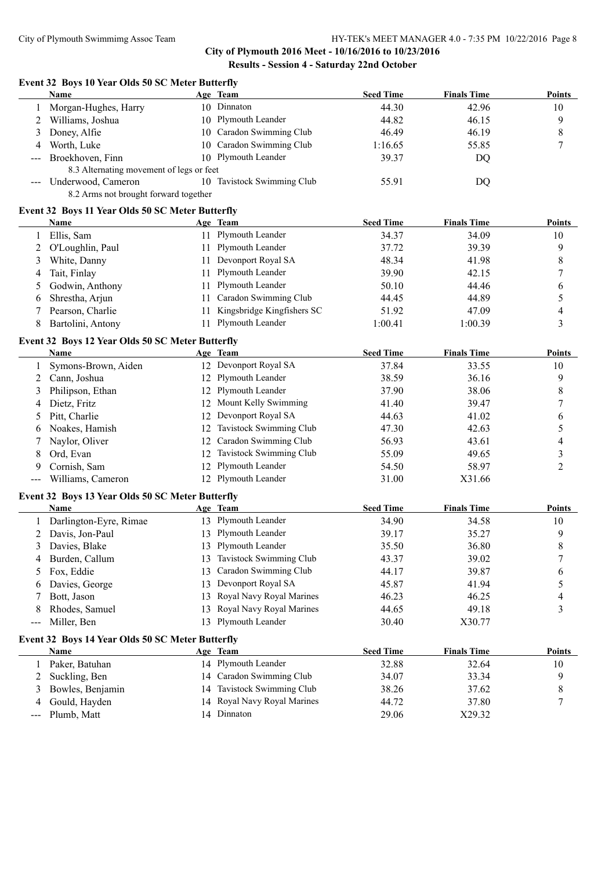## **Event 32 Boys 10 Year Olds 50 SC Meter Butterfly**

|   | Name                                     | Age Team                   | <b>Seed Time</b> | <b>Finals Time</b> | <b>Points</b> |
|---|------------------------------------------|----------------------------|------------------|--------------------|---------------|
|   | Morgan-Hughes, Harry                     | 10 Dinnaton                | 44.30            | 42.96              | 10            |
|   | Williams, Joshua                         | 10 Plymouth Leander        | 44.82            | 46.15              | 9             |
|   | 3 Doney, Alfie                           | 10 Caradon Swimming Club   | 46.49            | 46.19              | 8             |
| 4 | Worth, Luke                              | 10 Caradon Swimming Club   | 1:16.65          | 55.85              |               |
|   | --- Broekhoven, Finn                     | 10 Plymouth Leander        | 39.37            | DO                 |               |
|   | 8.3 Alternating movement of legs or feet |                            |                  |                    |               |
|   | --- Underwood, Cameron                   | 10 Tavistock Swimming Club | 55.91            | DQ                 |               |
|   | 8.2 Arms not brought forward together    |                            |                  |                    |               |

## **Event 32 Boys 11 Year Olds 50 SC Meter Butterfly**

| Name               |     | Age Team                   | <b>Seed Time</b> | <b>Finals Time</b> | <b>Points</b> |
|--------------------|-----|----------------------------|------------------|--------------------|---------------|
| Ellis, Sam         |     | 11 Plymouth Leander        | 34.37            | 34.09              | 10            |
| 2 O'Loughlin, Paul |     | 11 Plymouth Leander        | 37.72            | 39.39              |               |
| 3 White, Danny     |     | 11 Devonport Royal SA      | 48.34            | 41.98              |               |
| 4 Tait, Finlay     |     | 11 Plymouth Leander        | 39.90            | 42.15              |               |
| 5 Godwin, Anthony  |     | 11 Plymouth Leander        | 50.10            | 44.46              |               |
| 6 Shrestha, Arjun  |     | 11 Caradon Swimming Club   | 44.45            | 44.89              |               |
| Pearson, Charlie   | 11. | Kingsbridge Kingfishers SC | 51.92            | 47.09              | 4             |
| Bartolini, Antony  |     | 11 Plymouth Leander        | 1:00.41          | 1:00.39            |               |

#### **Event 32 Boys 12 Year Olds 50 SC Meter Butterfly**

|   | <b>Name</b>         |     | Age Team                   | <b>Seed Time</b> | <b>Finals Time</b> | <b>Points</b> |
|---|---------------------|-----|----------------------------|------------------|--------------------|---------------|
|   | Symons-Brown, Aiden |     | 12 Devonport Royal SA      | 37.84            | 33.55              | 10            |
|   | 2 Cann, Joshua      |     | 12 Plymouth Leander        | 38.59            | 36.16              | 9             |
|   | Philipson, Ethan    |     | 12 Plymouth Leander        | 37.90            | 38.06              | 8             |
| 4 | Dietz, Fritz        |     | 12 Mount Kelly Swimming    | 41.40            | 39.47              |               |
|   | 5 Pitt, Charlie     |     | 12 Devonport Royal SA      | 44.63            | 41.02              | O             |
| 6 | Noakes, Hamish      |     | 12 Tavistock Swimming Club | 47.30            | 42.63              |               |
|   | Naylor, Oliver      |     | 12 Caradon Swimming Club   | 56.93            | 43.61              | 4             |
| 8 | Ord, Evan           | 12. | Tavistock Swimming Club    | 55.09            | 49.65              |               |
| 9 | Cornish, Sam        |     | 12 Plymouth Leander        | 54.50            | 58.97              |               |
|   | Williams, Cameron   |     | 12 Plymouth Leander        | 31.00            | X31.66             |               |

## **Event 32 Boys 13 Year Olds 50 SC Meter Butterfly**

|   | <b>Name</b>            |     | Age Team                    | <b>Seed Time</b> | <b>Finals Time</b> | <b>Points</b> |
|---|------------------------|-----|-----------------------------|------------------|--------------------|---------------|
|   | Darlington-Eyre, Rimae |     | 13 Plymouth Leander         | 34.90            | 34.58              | 10            |
|   | 2 Davis, Jon-Paul      |     | 13 Plymouth Leander         | 39.17            | 35.27              | 9             |
|   | 3 Davies, Blake        |     | 13 Plymouth Leander         | 35.50            | 36.80              | 8             |
|   | 4 Burden, Callum       | 13. | Tavistock Swimming Club     | 43.37            | 39.02              |               |
|   | 5 Fox, Eddie           |     | 13 Caradon Swimming Club    | 44.17            | 39.87              | 6             |
|   | 6 Davies, George       |     | 13 Devonport Royal SA       | 45.87            | 41.94              |               |
|   | Bott, Jason            |     | 13 Royal Navy Royal Marines | 46.23            | 46.25              | 4             |
| 8 | Rhodes, Samuel         |     | 13 Royal Navy Royal Marines | 44.65            | 49.18              |               |
|   | --- Miller, Ben        |     | 13 Plymouth Leander         | 30.40            | X30.77             |               |

#### **Event 32 Boys 14 Year Olds 50 SC Meter Butterfly**

|   | Name               | Age Team                    | <b>Seed Time</b> | <b>Finals Time</b> | <b>Points</b> |
|---|--------------------|-----------------------------|------------------|--------------------|---------------|
|   | Paker, Batuhan     | 14 Plymouth Leander         | 32.88            | 32.64              | 10            |
|   | 2 Suckling, Ben    | 14 Caradon Swimming Club    | 34.07            | 33.34              |               |
|   | 3 Bowles, Benjamin | 14 Tavistock Swimming Club  | 38.26            | 37.62              |               |
| 4 | Gould, Hayden      | 14 Royal Navy Royal Marines | 44.72            | 37.80              |               |
|   | --- Plumb, Matt    | 4 Dinnaton                  | 29.06            | X29.32             |               |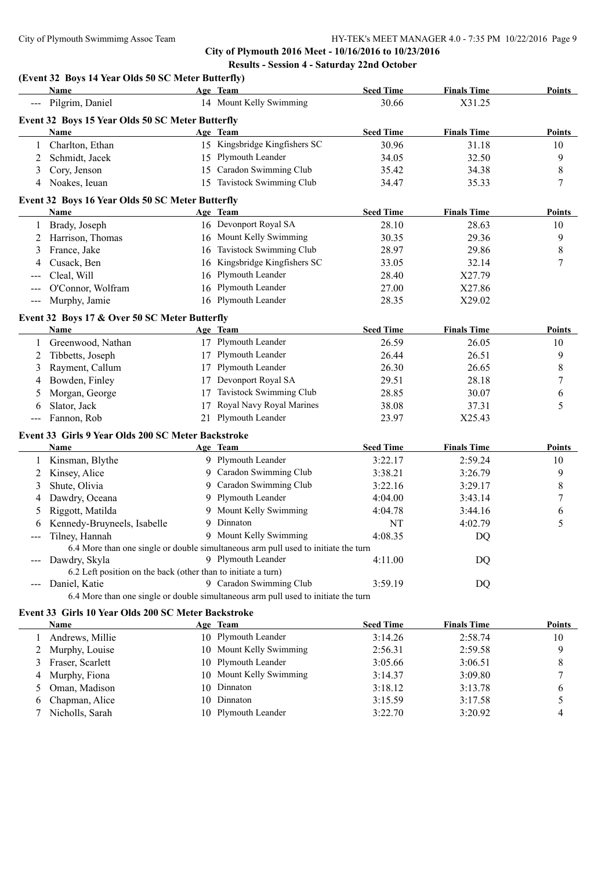## **(Event 32 Boys 14 Year Olds 50 SC Meter Butterfly)**

|        | Name                                                                           |    | Age Team                                                                           | <b>Seed Time</b> | <b>Finals Time</b> | <b>Points</b> |
|--------|--------------------------------------------------------------------------------|----|------------------------------------------------------------------------------------|------------------|--------------------|---------------|
|        | Pilgrim, Daniel                                                                |    | 14 Mount Kelly Swimming                                                            | 30.66            | X31.25             |               |
|        | Event 32 Boys 15 Year Olds 50 SC Meter Butterfly                               |    |                                                                                    |                  |                    |               |
|        | <b>Name</b>                                                                    |    | Age Team                                                                           | <b>Seed Time</b> | <b>Finals Time</b> | Points        |
|        | Charlton, Ethan                                                                |    | 15 Kingsbridge Kingfishers SC                                                      | 30.96            | 31.18              | 10            |
| 2      | Schmidt, Jacek                                                                 |    | 15 Plymouth Leander                                                                | 34.05            | 32.50              | 9             |
| 3      | Cory, Jenson                                                                   |    | 15 Caradon Swimming Club                                                           | 35.42            | 34.38              | 8             |
| 4      | Noakes, Ieuan                                                                  |    | 15 Tavistock Swimming Club                                                         | 34.47            | 35.33              | 7             |
|        | Event 32 Boys 16 Year Olds 50 SC Meter Butterfly                               |    |                                                                                    |                  |                    |               |
|        | Name                                                                           |    | Age Team                                                                           | <b>Seed Time</b> | <b>Finals Time</b> | Points        |
|        | Brady, Joseph                                                                  |    | 16 Devonport Royal SA                                                              | 28.10            | 28.63              | 10            |
| 2      | Harrison, Thomas                                                               |    | 16 Mount Kelly Swimming                                                            | 30.35            | 29.36              | 9             |
|        | France, Jake                                                                   |    | 16 Tavistock Swimming Club                                                         | 28.97            | 29.86              | 8             |
|        | Cusack, Ben                                                                    |    | 16 Kingsbridge Kingfishers SC                                                      | 33.05            | 32.14              | 7             |
|        | Cleal, Will                                                                    |    | 16 Plymouth Leander                                                                | 28.40            | X27.79             |               |
|        | O'Connor, Wolfram                                                              |    | 16 Plymouth Leander                                                                | 27.00            | X27.86             |               |
| $---$  | Murphy, Jamie                                                                  |    | 16 Plymouth Leander                                                                | 28.35            | X29.02             |               |
|        |                                                                                |    |                                                                                    |                  |                    |               |
|        | Event 32 Boys 17 & Over 50 SC Meter Butterfly<br><b>Name</b>                   |    | Age Team                                                                           | <b>Seed Time</b> | <b>Finals Time</b> | <b>Points</b> |
|        | Greenwood, Nathan                                                              |    | 17 Plymouth Leander                                                                | 26.59            | 26.05              | 10            |
|        | Tibbetts, Joseph                                                               |    | 17 Plymouth Leander                                                                | 26.44            | 26.51              | 9             |
| 2<br>3 | Rayment, Callum                                                                |    | 17 Plymouth Leander                                                                | 26.30            | 26.65              | 8             |
|        | Bowden, Finley                                                                 |    | 17 Devonport Royal SA                                                              | 29.51            |                    |               |
| 4      | Morgan, George                                                                 | 17 | Tavistock Swimming Club                                                            | 28.85            | 28.18<br>30.07     | 7             |
| 5      | Slator, Jack                                                                   | 17 | Royal Navy Royal Marines                                                           | 38.08            | 37.31              | 6<br>5        |
| 6      | Fannon, Rob                                                                    |    | 21 Plymouth Leander                                                                | 23.97            | X25.43             |               |
|        |                                                                                |    |                                                                                    |                  |                    |               |
|        | Event 33 Girls 9 Year Olds 200 SC Meter Backstroke                             |    |                                                                                    |                  |                    |               |
|        | Name                                                                           |    | Age Team                                                                           | <b>Seed Time</b> | <b>Finals Time</b> | <b>Points</b> |
| 1      | Kinsman, Blythe                                                                |    | 9 Plymouth Leander                                                                 | 3:22.17          | 2:59.24            | 10            |
| 2      | Kinsey, Alice                                                                  |    | 9 Caradon Swimming Club                                                            | 3:38.21          | 3:26.79            | 9             |
| 3      | Shute, Olivia                                                                  |    | 9 Caradon Swimming Club                                                            | 3:22.16          | 3:29.17            | 8             |
| 4      | Dawdry, Oceana                                                                 |    | 9 Plymouth Leander                                                                 | 4:04.00          | 3:43.14            | 7             |
| 5      | Riggott, Matilda                                                               |    | 9 Mount Kelly Swimming                                                             | 4:04.78          | 3:44.16            | 6             |
| 6      | Kennedy-Bruyneels, Isabelle                                                    |    | 9 Dinnaton                                                                         | NT               | 4:02.79            | 5             |
| ---    | Tilney, Hannah                                                                 |    | 9 Mount Kelly Swimming                                                             | 4:08.35          | DQ                 |               |
|        |                                                                                |    | 6.4 More than one single or double simultaneous arm pull used to initiate the turn |                  |                    |               |
|        | Dawdry, Skyla<br>6.2 Left position on the back (other than to initiate a turn) |    | 9 Plymouth Leander                                                                 | 4:11.00          | DQ                 |               |
|        | Daniel, Katie                                                                  |    | 9 Caradon Swimming Club                                                            | 3:59.19          |                    |               |
|        |                                                                                |    | 6.4 More than one single or double simultaneous arm pull used to initiate the turn |                  | DQ                 |               |
|        |                                                                                |    |                                                                                    |                  |                    |               |
|        | Event 33 Girls 10 Year Olds 200 SC Meter Backstroke                            |    |                                                                                    |                  |                    |               |
|        | Name                                                                           |    | Age Team<br>10 Plymouth Leander                                                    | <b>Seed Time</b> | <b>Finals Time</b> | Points        |
| 1      | Andrews, Millie                                                                |    |                                                                                    | 3:14.26          | 2:58.74            | 10            |
| 2      | Murphy, Louise<br>Fraser, Scarlett                                             |    | 10 Mount Kelly Swimming<br>10 Plymouth Leander                                     | 2:56.31          | 2:59.58            | 9             |
| 3      |                                                                                |    | 10 Mount Kelly Swimming                                                            | 3:05.66          | 3:06.51            | 8             |
| 4      | Murphy, Fiona                                                                  |    | 10 Dinnaton                                                                        | 3:14.37          | 3:09.80            | 7             |
| 5      | Oman, Madison                                                                  |    | 10 Dinnaton                                                                        | 3:18.12          | 3:13.78            | 6             |
| 6<br>7 | Chapman, Alice<br>Nicholls, Sarah                                              |    | 10 Plymouth Leander                                                                | 3:15.59          | 3:17.58            | 5<br>4        |
|        |                                                                                |    |                                                                                    | 3:22.70          | 3:20.92            |               |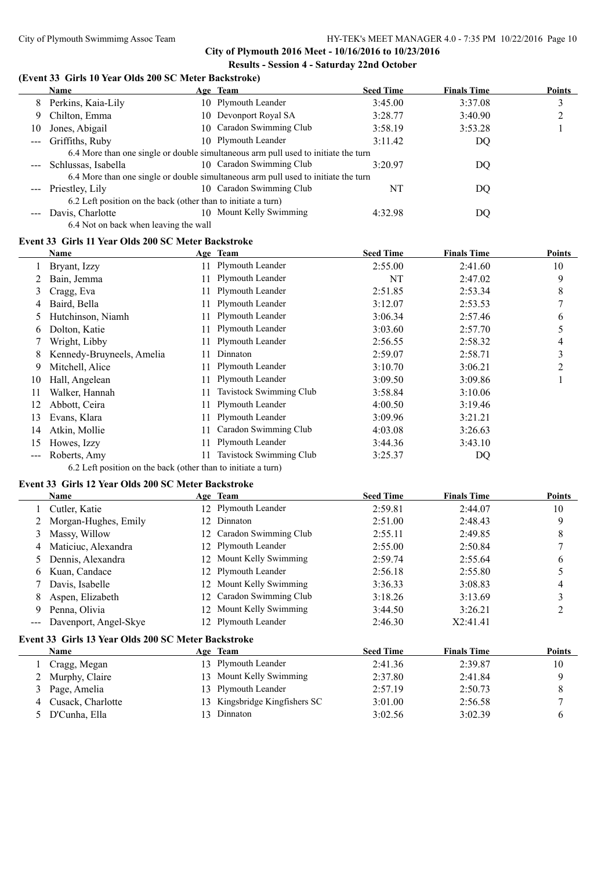#### **(Event 33 Girls 10 Year Olds 200 SC Meter Backstroke)**

|                        | <b>Name</b>                                                   | Age Team                                                                           | <b>Seed Time</b> | <b>Finals Time</b> | <b>Points</b> |
|------------------------|---------------------------------------------------------------|------------------------------------------------------------------------------------|------------------|--------------------|---------------|
| 8                      | Perkins, Kaia-Lily                                            | 10 Plymouth Leander                                                                | 3:45.00          | 3:37.08            | 3             |
| 9.                     | Chilton, Emma                                                 | 10 Devonport Royal SA                                                              | 3:28.77          | 3:40.90            | ◠             |
| 10                     | Jones, Abigail                                                | 10 Caradon Swimming Club                                                           | 3:58.19          | 3:53.28            |               |
| $\frac{1}{2}$          | Griffiths, Ruby                                               | 10 Plymouth Leander                                                                | 3:11.42          | DQ                 |               |
|                        |                                                               | 6.4 More than one single or double simultaneous arm pull used to initiate the turn |                  |                    |               |
|                        | Schlussas, Isabella                                           | 10 Caradon Swimming Club                                                           | 3:20.97          | DQ                 |               |
|                        |                                                               | 6.4 More than one single or double simultaneous arm pull used to initiate the turn |                  |                    |               |
| $\qquad \qquad \cdots$ | Priestley, Lily                                               | 10 Caradon Swimming Club                                                           | NΤ               | DQ                 |               |
|                        | 6.2 Left position on the back (other than to initiate a turn) |                                                                                    |                  |                    |               |
|                        | Davis, Charlotte                                              | 10 Mount Kelly Swimming                                                            | 4:32.98          | DQ                 |               |
|                        | 6.4 Not on back when leaving the wall                         |                                                                                    |                  |                    |               |

## **Event 33 Girls 11 Year Olds 200 SC Meter Backstroke**

|     | Name                      |     | Age Team                | <b>Seed Time</b> | <b>Finals Time</b> | <b>Points</b>  |
|-----|---------------------------|-----|-------------------------|------------------|--------------------|----------------|
|     | Bryant, Izzy              | 11. | Plymouth Leander        | 2:55.00          | 2:41.60            | 10             |
|     | Bain, Jemma               | 11. | Plymouth Leander        | NT               | 2:47.02            | 9              |
| 3   | Cragg, Eva                | 11  | Plymouth Leander        | 2:51.85          | 2:53.34            | 8              |
| 4   | Baird, Bella              | 11  | Plymouth Leander        | 3:12.07          | 2:53.53            | 7              |
| 5   | Hutchinson, Niamh         |     | Plymouth Leander        | 3:06.34          | 2:57.46            | 6              |
| 6   | Dolton, Katie             | 11  | Plymouth Leander        | 3:03.60          | 2:57.70            |                |
|     | Wright, Libby             |     | Plymouth Leander        | 2:56.55          | 2:58.32            | 4              |
| 8   | Kennedy-Bruyneels, Amelia | 11  | Dinnaton                | 2:59.07          | 2:58.71            | 3              |
| 9   | Mitchell, Alice           | 11. | Plymouth Leander        | 3:10.70          | 3:06.21            | $\overline{2}$ |
| 10  | Hall, Angelean            | 11  | Plymouth Leander        | 3:09.50          | 3:09.86            |                |
| 11  | Walker, Hannah            | 11  | Tavistock Swimming Club | 3:58.84          | 3:10.06            |                |
| 12  | Abbott, Ceira             | 11  | Plymouth Leander        | 4:00.50          | 3:19.46            |                |
| 13  | Evans, Klara              | 11. | Plymouth Leander        | 3:09.96          | 3:21.21            |                |
| 14  | Atkin, Mollie             |     | Caradon Swimming Club   | 4:03.08          | 3:26.63            |                |
| 15  | Howes, Izzy               | 11  | Plymouth Leander        | 3:44.36          | 3:43.10            |                |
| --- | Roberts, Amy              |     | Tavistock Swimming Club | 3:25.37          | DO                 |                |

6.2 Left position on the back (other than to initiate a turn)

## **Event 33 Girls 12 Year Olds 200 SC Meter Backstroke**

|       | Name                                                |     | Age Team                   | <b>Seed Time</b> | <b>Finals Time</b> | <b>Points</b>  |
|-------|-----------------------------------------------------|-----|----------------------------|------------------|--------------------|----------------|
|       | Cutler, Katie                                       | 12. | <b>Plymouth Leander</b>    | 2:59.81          | 2:44.07            | 10             |
|       | Morgan-Hughes, Emily                                | 12  | Dinnaton                   | 2:51.00          | 2:48.43            | 9              |
| 3     | Massy, Willow                                       | 12  | Caradon Swimming Club      | 2:55.11          | 2:49.85            | 8              |
| 4     | Maticiuc, Alexandra                                 | 12. | Plymouth Leander           | 2:55.00          | 2:50.84            | 7              |
| 5     | Dennis, Alexandra                                   | 12  | Mount Kelly Swimming       | 2:59.74          | 2:55.64            | 6              |
| 6     | Kuan, Candace                                       | 12. | Plymouth Leander           | 2:56.18          | 2:55.80            |                |
|       | Davis, Isabelle                                     | 12  | Mount Kelly Swimming       | 3:36.33          | 3:08.83            | 4              |
| 8     | Aspen, Elizabeth                                    | 12  | Caradon Swimming Club      | 3:18.26          | 3:13.69            | 3              |
| 9     | Penna, Olivia                                       | 12  | Mount Kelly Swimming       | 3:44.50          | 3:26.21            | $\overline{2}$ |
| $---$ | Davenport, Angel-Skye                               |     | 12 Plymouth Leander        | 2:46.30          | X2:41.41           |                |
|       | Event 33 Girls 13 Year Olds 200 SC Meter Backstroke |     |                            |                  |                    |                |
|       | <b>Name</b>                                         |     | Age Team                   | <b>Seed Time</b> | <b>Finals Time</b> | <b>Points</b>  |
|       | Cragg, Megan                                        |     | 13 Plymouth Leander        | 2:41.36          | 2:39.87            | 10             |
|       | Murphy, Claire                                      | 13  | Mount Kelly Swimming       | 2:37.80          | 2:41.84            | 9              |
| 3     | Page, Amelia                                        | 13  | Plymouth Leander           | 2:57.19          | 2:50.73            | 8              |
| 4     | Cusack, Charlotte                                   | 13  | Kingsbridge Kingfishers SC | 3:01.00          | 2:56.58            | 7              |
| 5     | D'Cunha, Ella                                       | 13. | Dinnaton                   | 3:02.56          | 3:02.39            | 6              |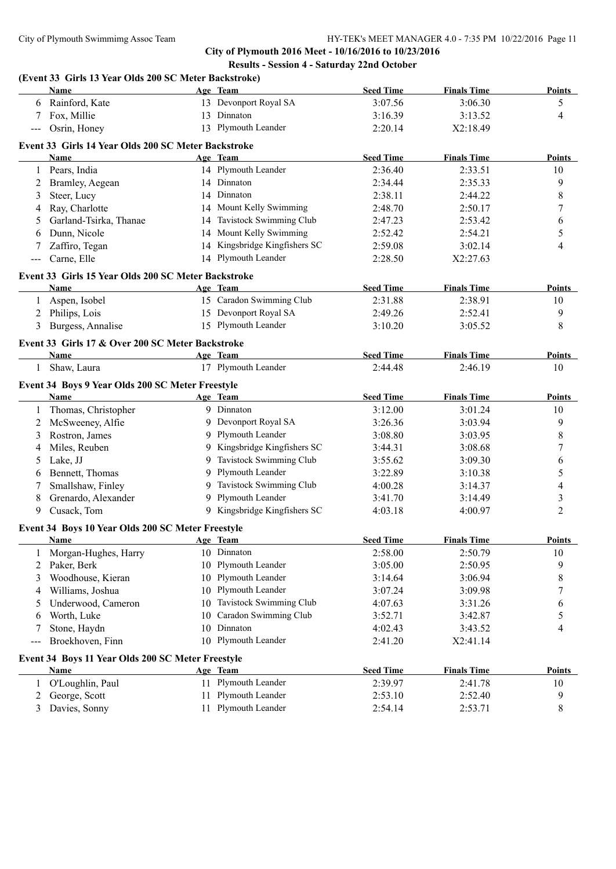|                   | (Event 33 Girls 13 Year Olds 200 SC Meter Backstroke)<br>Name |    | Age Team                      | <b>Seed Time</b> | <b>Finals Time</b> | <b>Points</b>  |
|-------------------|---------------------------------------------------------------|----|-------------------------------|------------------|--------------------|----------------|
|                   |                                                               |    |                               |                  |                    |                |
|                   | 6 Rainford, Kate                                              |    | 13 Devonport Royal SA         | 3:07.56          | 3:06.30            | 5              |
|                   | Fox, Millie                                                   |    | 13 Dinnaton                   | 3:16.39          | 3:13.52            | 4              |
|                   | Osrin, Honey                                                  |    | 13 Plymouth Leander           | 2:20.14          | X2:18.49           |                |
|                   | Event 33 Girls 14 Year Olds 200 SC Meter Backstroke           |    |                               |                  |                    |                |
|                   | <b>Name</b>                                                   |    | Age Team                      | <b>Seed Time</b> | <b>Finals Time</b> | Points         |
|                   | 1 Pears, India                                                |    | 14 Plymouth Leander           | 2:36.40          | 2:33.51            | 10             |
| 2                 | Bramley, Aegean                                               |    | 14 Dinnaton                   | 2:34.44          | 2:35.33            | 9              |
| 3                 | Steer, Lucy                                                   |    | 14 Dinnaton                   | 2:38.11          | 2:44.22            | 8              |
| 4                 | Ray, Charlotte                                                |    | 14 Mount Kelly Swimming       | 2:48.70          | 2:50.17            | 7              |
| 5                 | Garland-Tsirka, Thanae                                        | 14 | Tavistock Swimming Club       | 2:47.23          | 2:53.42            | 6              |
| 6                 | Dunn, Nicole                                                  |    | 14 Mount Kelly Swimming       | 2:52.42          | 2:54.21            | 5              |
| 7                 | Zaffiro, Tegan                                                |    | 14 Kingsbridge Kingfishers SC | 2:59.08          | 3:02.14            | 4              |
| ---               | Carne, Elle                                                   |    | 14 Plymouth Leander           | 2:28.50          | X2:27.63           |                |
|                   | Event 33 Girls 15 Year Olds 200 SC Meter Backstroke           |    |                               |                  |                    |                |
|                   | Name                                                          |    | Age Team                      | <b>Seed Time</b> | <b>Finals Time</b> | <b>Points</b>  |
|                   | 1 Aspen, Isobel                                               |    | 15 Caradon Swimming Club      | 2:31.88          | 2:38.91            | 10             |
|                   | 2 Philips, Lois                                               |    | 15 Devonport Royal SA         | 2:49.26          | 2:52.41            | 9              |
| 3                 | Burgess, Annalise                                             |    | 15 Plymouth Leander           | 3:10.20          | 3:05.52            | $\,$ 8 $\,$    |
|                   | Event 33 Girls 17 & Over 200 SC Meter Backstroke              |    |                               |                  |                    |                |
|                   | <b>Name</b>                                                   |    | Age Team                      | <b>Seed Time</b> | <b>Finals Time</b> | <b>Points</b>  |
| $\mathbf{1}$      | Shaw, Laura                                                   |    | 17 Plymouth Leander           | 2:44.48          | 2:46.19            | 10             |
|                   |                                                               |    |                               |                  |                    |                |
|                   | Event 34 Boys 9 Year Olds 200 SC Meter Freestyle<br>Name      |    | Age Team                      | <b>Seed Time</b> | <b>Finals Time</b> | <b>Points</b>  |
|                   |                                                               |    | 9 Dinnaton                    |                  |                    |                |
| 1                 | Thomas, Christopher                                           |    | 9 Devonport Royal SA          | 3:12.00          | 3:01.24            | 10<br>9        |
| 2                 | McSweeney, Alfie                                              |    | 9 Plymouth Leander            | 3:26.36          | 3:03.94            |                |
| 3                 | Rostron, James                                                |    | 9 Kingsbridge Kingfishers SC  | 3:08.80          | 3:03.95            | 8              |
| 4                 | Miles, Reuben                                                 |    |                               | 3:44.31          | 3:08.68            | 7              |
| 5                 | Lake, JJ                                                      | 9  | Tavistock Swimming Club       | 3:55.62          | 3:09.30            | 6              |
| 6                 | Bennett, Thomas                                               | 9  | Plymouth Leander              | 3:22.89          | 3:10.38            | 5              |
| 7                 | Smallshaw, Finley                                             | 9. | Tavistock Swimming Club       | 4:00.28          | 3:14.37            | 4              |
| 8                 | Grenardo, Alexander                                           | 9  | Plymouth Leander              | 3:41.70          | 3:14.49            | 3              |
| 9                 | Cusack, Tom                                                   |    | 9 Kingsbridge Kingfishers SC  | 4:03.18          | 4:00.97            | $\overline{2}$ |
|                   | Event 34 Boys 10 Year Olds 200 SC Meter Freestyle             |    |                               |                  |                    |                |
|                   | Name                                                          |    | Age Team                      | <b>Seed Time</b> | <b>Finals Time</b> | <b>Points</b>  |
| 1                 | Morgan-Hughes, Harry                                          |    | 10 Dinnaton                   | 2:58.00          | 2:50.79            | 10             |
| 2                 | Paker, Berk                                                   | 10 | Plymouth Leander              | 3:05.00          | 2:50.95            | 9              |
| 3                 | Woodhouse, Kieran                                             | 10 | Plymouth Leander              | 3:14.64          | 3:06.94            | 8              |
| 4                 | Williams, Joshua                                              | 10 | Plymouth Leander              | 3:07.24          | 3:09.98            | 7              |
| 5                 | Underwood, Cameron                                            | 10 | Tavistock Swimming Club       | 4:07.63          | 3:31.26            | 6              |
| 6                 | Worth, Luke                                                   | 10 | Caradon Swimming Club         | 3:52.71          | 3:42.87            | 5              |
| 7                 | Stone, Haydn                                                  | 10 | Dinnaton                      | 4:02.43          | 3:43.52            | 4              |
| $\qquad \qquad -$ | Broekhoven, Finn                                              |    | 10 Plymouth Leander           | 2:41.20          | X2:41.14           |                |
|                   | Event 34 Boys 11 Year Olds 200 SC Meter Freestyle             |    |                               |                  |                    |                |
|                   | Name                                                          |    | Age Team                      | <b>Seed Time</b> | <b>Finals Time</b> | <b>Points</b>  |
| 1                 | O'Loughlin, Paul                                              | 11 | Plymouth Leander              | 2:39.97          | 2:41.78            | 10             |
| 2                 | George, Scott                                                 | 11 | Plymouth Leander              | 2:53.10          | 2:52.40            | 9              |
| 3                 | Davies, Sonny                                                 | 11 | Plymouth Leander              | 2:54.14          | 2:53.71            | 8              |
|                   |                                                               |    |                               |                  |                    |                |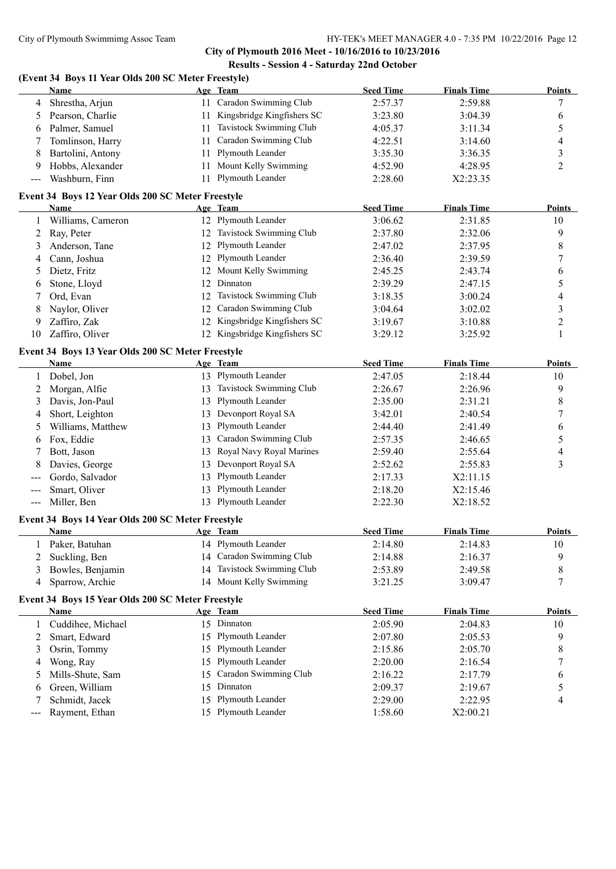## **City of Plymouth 2016 Meet - 10/16/2016 to 10/23/2016 Results - Session 4 - Saturday 22nd October**

## **(Event 34 Boys 11 Year Olds 200 SC Meter Freestyle)**

|              | Name                                                      |    | Age Team                      | <b>Seed Time</b>   | <b>Finals Time</b> | <b>Points</b>  |
|--------------|-----------------------------------------------------------|----|-------------------------------|--------------------|--------------------|----------------|
| 4            | Shrestha, Arjun                                           |    | 11 Caradon Swimming Club      | 2:57.37            | 2:59.88            | 7              |
| 5            | Pearson, Charlie                                          | 11 | Kingsbridge Kingfishers SC    | 3:23.80            | 3:04.39            | 6              |
| 6            | Palmer, Samuel                                            | 11 | Tavistock Swimming Club       | 4:05.37            | 3:11.34            | 5              |
| 7            | Tomlinson, Harry                                          | 11 | Caradon Swimming Club         | 4:22.51            | 3:14.60            | 4              |
| 8            | Bartolini, Antony                                         | 11 | Plymouth Leander              | 3:35.30            | 3:36.35            | 3              |
| 9            | Hobbs, Alexander                                          | 11 | Mount Kelly Swimming          | 4:52.90            | 4:28.95            | $\overline{c}$ |
| ---          | Washburn, Finn                                            | 11 | Plymouth Leander              | 2:28.60            | X2:23.35           |                |
|              | Event 34 Boys 12 Year Olds 200 SC Meter Freestyle         |    |                               |                    |                    |                |
|              | Name                                                      |    | Age Team                      | <b>Seed Time</b>   | <b>Finals Time</b> | Points         |
| 1            | Williams, Cameron                                         |    | 12 Plymouth Leander           | 3:06.62            | 2:31.85            | 10             |
| 2            | Ray, Peter                                                |    | 12 Tavistock Swimming Club    | 2:37.80            | 2:32.06            | 9              |
| 3            | Anderson, Tane                                            |    | 12 Plymouth Leander           | 2:47.02            | 2:37.95            | 8              |
| 4            | Cann, Joshua                                              |    | 12 Plymouth Leander           | 2:36.40            | 2:39.59            | 7              |
| 5            | Dietz, Fritz                                              | 12 | Mount Kelly Swimming          | 2:45.25            | 2:43.74            | 6              |
| 6            | Stone, Lloyd                                              | 12 | Dinnaton                      | 2:39.29            | 2:47.15            | 5              |
| 7            | Ord, Evan                                                 | 12 | Tavistock Swimming Club       | 3:18.35            | 3:00.24            | 4              |
| 8            | Naylor, Oliver                                            | 12 | Caradon Swimming Club         | 3:04.64            | 3:02.02            | 3              |
| 9            | Zaffiro, Zak                                              | 12 | Kingsbridge Kingfishers SC    | 3:19.67            | 3:10.88            | $\overline{c}$ |
| 10           | Zaffiro, Oliver                                           |    | 12 Kingsbridge Kingfishers SC | 3:29.12            | 3:25.92            | 1              |
|              | Event 34 Boys 13 Year Olds 200 SC Meter Freestyle         |    |                               |                    |                    |                |
|              | Name                                                      |    | Age Team                      | <b>Seed Time</b>   | <b>Finals Time</b> | Points         |
| 1            | Dobel, Jon                                                |    | 13 Plymouth Leander           | 2:47.05            | 2:18.44            | 10             |
| 2            | Morgan, Alfie                                             | 13 | Tavistock Swimming Club       | 2:26.67            | 2:26.96            | 9              |
| 3            | Davis, Jon-Paul                                           | 13 | Plymouth Leander              | 2:35.00            | 2:31.21            | 8              |
| 4            | Short, Leighton                                           | 13 | Devonport Royal SA            | 3:42.01            | 2:40.54            | 7              |
| 5            | Williams, Matthew                                         | 13 | Plymouth Leander              | 2:44.40            | 2:41.49            | 6              |
| 6            | Fox, Eddie                                                | 13 | Caradon Swimming Club         | 2:57.35            | 2:46.65            | 5              |
|              | Bott, Jason                                               | 13 | Royal Navy Royal Marines      | 2:59.40            | 2:55.64            | 4              |
| 8            | Davies, George                                            | 13 | Devonport Royal SA            | 2:52.62            | 2:55.83            | 3              |
|              | Gordo, Salvador                                           | 13 | Plymouth Leander              | 2:17.33            | X2:11.15           |                |
| ---          | Smart, Oliver                                             | 13 | Plymouth Leander              | 2:18.20            | X2:15.46           |                |
| ---          | Miller, Ben                                               |    | 13 Plymouth Leander           | 2:22.30            | X2:18.52           |                |
|              | Event 34 Boys 14 Year Olds 200 SC Meter Freestyle         |    |                               |                    |                    |                |
|              | Name                                                      |    | Age Team                      | <b>Seed Time</b>   | <b>Finals Time</b> | <b>Points</b>  |
| 1            | Paker, Batuhan                                            |    | 14 Plymouth Leander           | 2:14.80            | 2:14.83            | 10             |
| 2            | Suckling, Ben                                             |    | 14 Caradon Swimming Club      | 2:14.88            | 2:16.37            | 9              |
| 3            | Bowles, Benjamin                                          | 14 | Tavistock Swimming Club       | 2:53.89            | 2:49.58            | 8              |
| 4            | Sparrow, Archie                                           |    | 14 Mount Kelly Swimming       | 3:21.25            | 3:09.47            | 7              |
|              |                                                           |    |                               |                    |                    |                |
|              | Event 34 Boys 15 Year Olds 200 SC Meter Freestyle<br>Name |    | Age Team                      | <b>Seed Time</b>   | <b>Finals Time</b> | <b>Points</b>  |
| $\mathbf{1}$ | Cuddihee, Michael                                         |    | 15 Dinnaton                   | 2:05.90            | 2:04.83            | 10             |
| 2            | Smart, Edward                                             | 15 | Plymouth Leander              | 2:07.80            | 2:05.53            | 9              |
| 3            | Osrin, Tommy                                              | 15 | Plymouth Leander              | 2:15.86            | 2:05.70            | 8              |
|              |                                                           | 15 | Plymouth Leander              |                    |                    |                |
| 4            | Wong, Ray<br>Mills-Shute, Sam                             | 15 | Caradon Swimming Club         | 2:20.00            | 2:16.54<br>2:17.79 | 7              |
| 5            | Green, William                                            | 15 | Dinnaton                      | 2:16.22            |                    | 6<br>5         |
| 6<br>7       | Schmidt, Jacek                                            | 15 | Plymouth Leander              | 2:09.37<br>2:29.00 | 2:19.67<br>2:22.95 | 4              |
|              | Rayment, Ethan                                            |    | 15 Plymouth Leander           | 1:58.60            | X2:00.21           |                |
| ---          |                                                           |    |                               |                    |                    |                |